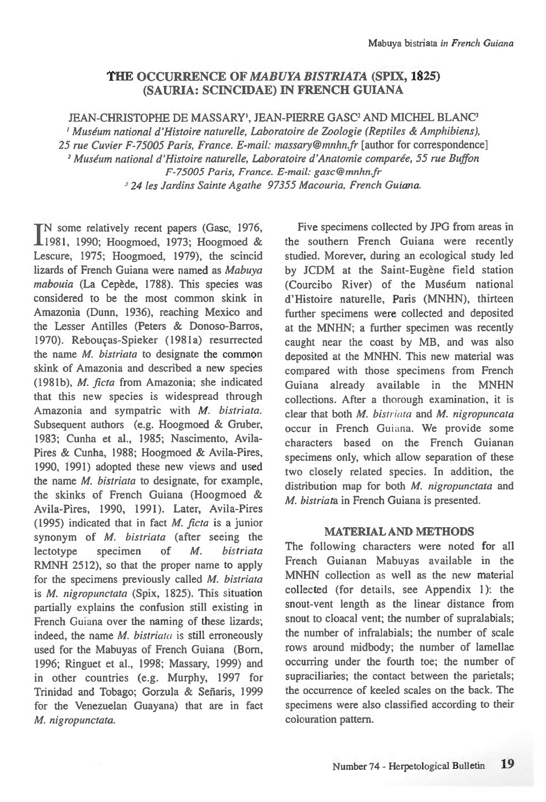# **THE OCCURRENCE OF** *MABUYA BISTRIATA* **(SPIX, 1825) (SAURIA: SCINCEDAE) IN FRENCH GUIANA**

JEAN-CHRISTOPHE DE MASSARY', JEAN-PIERRE GASC<sup>2</sup> AND MICHEL BLANC<sup>3</sup> *Museum national d'Histoire naturelle, Laboratoire de Zoologie (Reptiles & Amphibiens), 25 rue Cuvier F-75005 Paris, France. E-mail: massaty@mnhntr* [author for correspondence] *Museum national d'Histoire naturelle, Laboratoire d'Anatomie comparee, 55 rue Buffon F-75005 Paris, France. E-mail: gasc@mnhn.fr <sup>3</sup>24 les Jardins Sainte Agathe 97355 Macouria, French Guiana.* 

IN some relatively recent papers (Gasc, 1976,<br>1981, 1990; Hoogmoed, 1973; Hoogmoed & TN some relatively recent papers (Gasc, 1976, Lescure, 1975; Hoogmoed, 1979), the scincid lizards of French Guiana were named as *Mabuya*  mabouia (La Cepède, 1788). This species was considered to be the most common skink in Amazonia (Dunn, 1936), reaching Mexico and the Lesser Antilles (Peters & Donoso-Barros, 1970). Rebougas-Spieker (1981a) resurrected the name *M. bistriata* to designate the common skink of Amazonia and described a new species (1981b), *M. ficta* from Amazonia; she indicated that this new species is widespread through Amazonia and sympatric with *M. bistriata.*  Subsequent authors (e.g. Hoogmoed & Gruber, 1983; Cunha et al., 1985; Nascimento, Avila-Pires & Cunha, 1988; Hoogmoed & Avila-Pires, 1990, 1991) adopted these new views and used the name *M. bistriata* to designate, for example, the skinks of French Guiana (Hoogmoed & Avila-Pires, 1990, 1991). Later, Avila-Pires (1995) indicated that in fact *M. ficta is* a junior synonym of *M. bistriata* (after seeing the lectotype specimen of *M. bistriata*  RMNH 2512), so that the proper name to apply for the specimens previously called *M. bistriata is M. nigropunctata* (Spix, 1825). This situation partially explains the confusion still existing in French Guiana over the naming of these lizards; indeed, the name *M. bistriata is* still erroneously used for the Mabuyas of French Guiana (Born, 1996; Ringuet et al., 1998; Massary, 1999) and in other countries (e.g. Murphy, 1997 for Trinidad and Tobago; Gorzula & Señaris, 1999 for the Venezuelan Guayana) that are in fact *M. nigropunctata.* 

Five specimens collected by JPG from areas in the southern French Guiana were recently studied. Morever, during an ecological study led by JCDM at the Saint-Eugène field station (Courcibo River) of the Museum national d'Histoire naturelle, Paris (MNHN), thirteen further specimens were collected and deposited at the MNHN; a further specimen was recently caught near the coast by MB, and was also deposited at the MNHN. This new material was compared with those specimens from French Guiana already available in the MNHN collections. After a thorough examination, it is clear that both *M. bistriata* and *M. nigropuncata*  occur in French Guiana. We provide some characters based on the French Guianan specimens only, which allow separation of these two closely related species. In addition, the distribution map for both *M. nigropunctata* and *M. bistriata* in French Guiana is presented.

### **MATERIAL AND METHODS**

The following characters were noted for all French Guianan Mabuyas available in the MNHN collection as well as the new material collected (for details, see Appendix 1): the snout-vent length as the linear distance from snout to cloacal vent; the number of supralabials; the number of infralabials; the number of scale rows around midbody; the number of lamellae occurring under the fourth toe; the number of supraciliaries; the contact between the parietals; the occurrence of keeled scales on the back. The specimens were also classified according to their colouration pattern.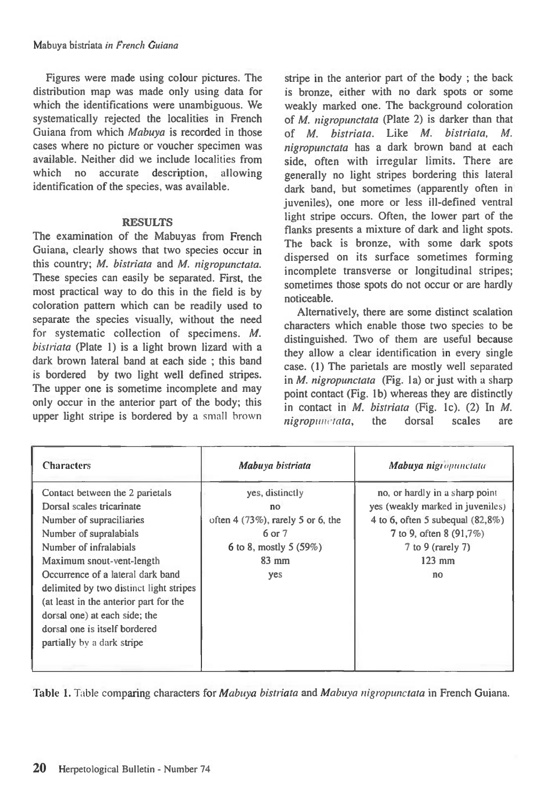Figures were made using colour pictures. The distribution map was made only using data for which the identifications were unambiguous. We systematically rejected the localities in French Guiana from which *Mabuya* is recorded in those cases where no picture or voucher specimen was available. Neither did we include localities from which no accurate description, allowing identification of the species, was available.

### **RESULTS**

The examination of the Mabuyas from French Guiana, clearly shows that two species occur in this country; *M. bistriata* and *M. nigropunctata.*  These species can easily be separated. First, the most practical way to do this in the field is by coloration pattern which can be readily used to separate the species visually, without the need for systematic collection of specimens. *M. bistriata* (Plate 1) is a light brown lizard with a dark brown lateral band at each side ; this band is bordered by two light well defined stripes. The upper one is sometime incomplete and may only occur in the anterior part of the body; this upper light stripe is bordered by a small brown

stripe in the anterior part of the body ; the back is bronze, either with no dark spots or some weakly marked one. The background coloration of *M. nigropunctata (Plate* 2) is darker than that of *M. bistriata.* Like *M. bistriata, M. nigropunctata* has a dark brown band at each side, often with irregular limits. There are generally no light stripes bordering this lateral dark band, but sometimes (apparently often in juveniles), one more or less ill-defined ventral light stripe occurs. Often, the lower part of the flanks presents a mixture of dark and light spots. The back is bronze, with some dark spots dispersed on its surface sometimes forming incomplete transverse or longitudinal stripes; sometimes those spots do not occur or are hardly noticeable.

Alternatively, there are some distinct scalation characters which enable those two species to be distinguished. Two of them are useful because they allow a clear identification in every single case. (1) The parietals are mostly well separated in *M. nigropunctata* (Fig. 1a) or just with a sharp point contact (Fig. 1b) whereas they are distinctly in contact in *M. bistriata* (Fig. lc). (2) In *M. nigropunctata,* the dorsal scales are

| <b>Characters</b>                                                                                                                                                                                                                                                                                                                                                                                   | Mabuya bistriata                                                                                                                | Mabuya nigropunctata                                                                                                                                                        |
|-----------------------------------------------------------------------------------------------------------------------------------------------------------------------------------------------------------------------------------------------------------------------------------------------------------------------------------------------------------------------------------------------------|---------------------------------------------------------------------------------------------------------------------------------|-----------------------------------------------------------------------------------------------------------------------------------------------------------------------------|
| Contact between the 2 parietals<br>Dorsal scales tricarinate<br>Number of supraciliaries<br>Number of supralabials<br>Number of infralabials<br>Maximum snout-vent-length<br>Occurrence of a lateral dark band<br>delimited by two distinct light stripes<br>(at least in the anterior part for the<br>dorsal one) at each side; the<br>dorsal one is itself bordered<br>partially by a dark stripe | yes, distinctly<br>n <sub>O</sub><br>often $4(73\%)$ , rarely 5 or 6, the<br>6 or 7<br>6 to 8, mostly 5 $(59%)$<br>83 mm<br>yes | no, or hardly in a sharp point<br>yes (weakly marked in juveniles)<br>4 to 6, often 5 subequal $(82,8\%)$<br>7 to 9, often 8 (91,7%)<br>7 to 9 (rarely 7)<br>$123$ mm<br>no |

Table 1. Table comparing characters for *Mabuya bistriata* and *Mabuya nigropunctata* in French Guiana.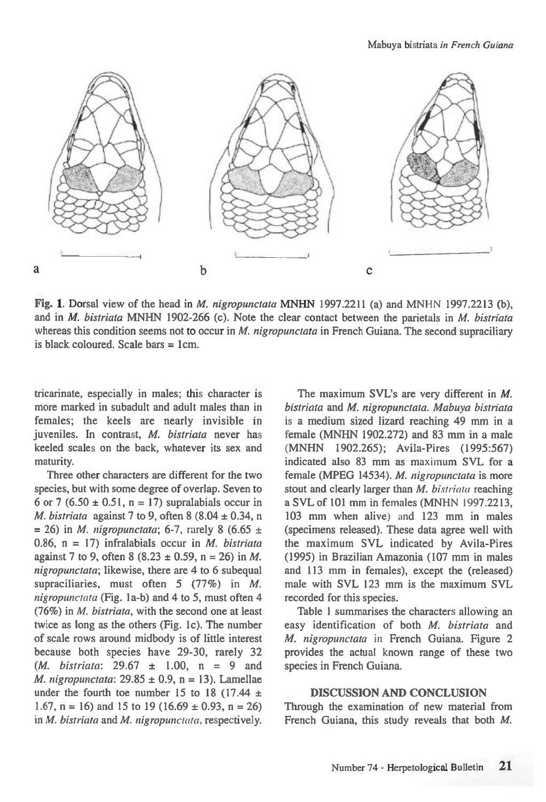

Fig. 1. Dorsal view of the head in *M. nigropunctata* MNHN 1997.2211 (a) and MNHN 1997.2213 (b), and in *M. bistriata* MNHN 1902-266 (c). Note the clear contact between the parietals in *M. bistriata*  whereas this condition seems not to occur in *M. nigropunctata* in French Guiana. The second supraciliary is black coloured. Scale bars  $= 1$ cm.

tricarinate, especially in males; this character is more marked in subadult and adult males than in females; the keels are nearly invisible in juveniles. In contrast, *M. bistriata* never has keeled scales on the back, whatever its sex and maturity.

Three other characters are different for the two species, but with some degree of overlap. Seven to 6 or 7 (6.50  $\pm$  0.51, n = 17) supralabials occur in *M. bistriata* against 7 to 9, often 8 (8.04  $\pm$  0.34, n  $= 26$ ) in *M. nigropunctata*; 6-7, rarely 8 (6.65  $\pm$ 0.86, n = 17) infralabials occur in *M. bistriata*  against 7 to 9, often 8 (8.23  $\pm$  0.59, n = 26) in *M*. *nigropunctata;* likewise, there are 4 to 6 subequal supraciliaries, must often 5 (77%) in *M*. *nigropunctata* (Fig. la-b) and 4 to 5, must often 4 (76%) in *M. bistriata,* with the second one at least twice as long as the others (Fig. lc). The number of scale rows around midbody is of little interest because both species have 29-30, rarely 32 *(M. bistriata:* 29.67 ± 1.00, n = 9 and *M. nigropunctata:* 29.85  $\pm$  0.9, n = 13). Lamellae under the fourth toe number 15 to 18 (17.44  $\pm$ 1.67,  $n = 16$ ) and 15 to 19 (16.69  $\pm$  0.93,  $n = 26$ ) in *M. bistriata* and *M. nigropunctata,* respectively.

The maximum SVL's are very different in *M. bistriata* and *M. nigropunctata. Mabuya bistriata is a* medium sized lizard reaching 49 mm in a female (MNHN 1902.272) and 83 mm in a male (MNHN 1902.265); Avila-Pires (1995:567) indicated also 83 mm as maximum SVL for a female (MPEG 14534). *M. nigropunctata* is more stout and clearly larger than *M. bistriata* reaching a SVL of 101 mm in females (MNHN 1997.2213, 103 mm when alive) and 123 mm in males (specimens released). These data agree well with the maximum SVL indicated by Avila-Pires (1995) in Brazilian Amazonia (107 mm in males and 113 mm in females), except the (released) male with SVL 123 mm is the maximum SVL recorded for this species.

Table 1 summarises the characters allowing an easy identification of both *M. bistriata* and *M. nigropunctata* in French Guiana. Figure 2 provides the actual known range of these two species in French Guiana.

#### DISCUSSION AND CONCLUSION

Through the examination of new material from French Guiana, this study reveals that both *M.*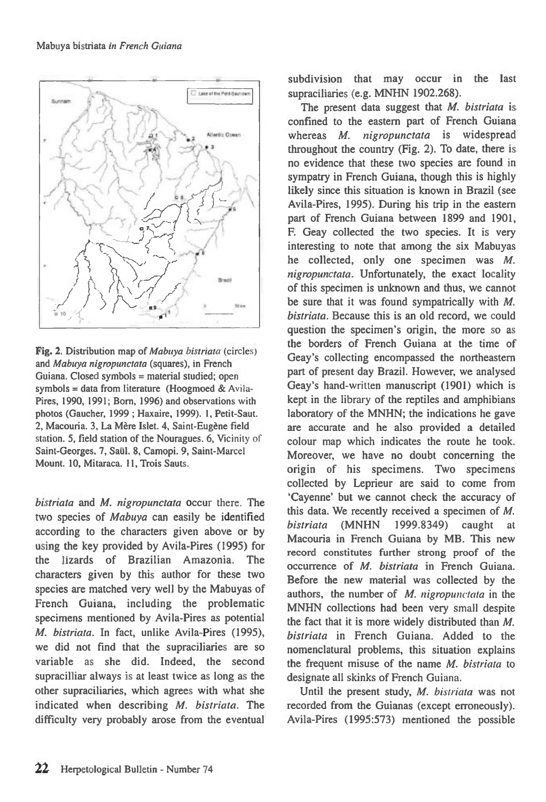

**Fig. 2.** Distribution map of *Mabuya bistriata* (circles) and *Mabuya nigropunctata* (squares), in French Guiana. Closed symbols = material studied; open symbols = data from literature (Hoogmoed & Avila-Fires, 1990, 1991; Born, 1996) and observations with photos (Gaucher, 1999 ; Haxaire, 1999). 1, Petit-Saut. 2, Macouria. 3, La Mere Islet. 4, Saint-Eugene field station. 5, field station of the Nouragues. 6, Vicinity of Saint-Georges. 7, Saiil. 8, Camopi. 9, Saint-Marcel Mount. 10, Mitaraca. 11, Trois Sauts.

*bistriata* and *M. nigropunctata* occur there. The two species of *Mabuya* can easily be identified according to the characters given above or by using the key provided by Avila-Pires (1995) for the lizards of Brazilian Amazonia. The characters given by this author for these two species are matched very well by the Mabuyas of French Guiana, including the problematic specimens mentioned by Avila-Pires as potential *M. bistriata.* In fact, unlike Avila-Pires (1995), we did not find that the supraciliaries are so variable as she did. Indeed, the second supracilliar always is at least twice as long as the other supraciliaries, which agrees with what she indicated when describing *M. bistriata.* The difficulty very probably arose from the eventual subdivision that may occur in the last supraciliaries (e.g. MNHN 1902.268).

The present data suggest that *M. bistriata is*  confined to the eastern part of French Guiana whereas *M. nigropunctata is* widespread throughout the country (Fig. 2). To date, there is no evidence that these two species are found in sympatry in French Guiana, though this is highly likely since this situation is known in Brazil (see Avila-Pires, 1995). During his trip in the eastern part of French Guiana between 1899 and 1901, F. Geay collected the two species. It is very interesting to note that among the six Mabuyas he collected, only one specimen was *M. nigropunctata.* Unfortunately, the exact locality of this specimen is unknown and thus, we cannot be sure that it was found sympatrically with *M. bistriata.* Because this is an old record, we could question the specimen's origin, the more so as the borders of French Guiana at the time of Geay's collecting encompassed the northeastern part of present day Brazil. However, we analysed Geay's hand-written manuscript (1901) which is kept in the library of the reptiles and amphibians laboratory of the MNHN; the indications he gave are accurate and he also provided a detailed colour map which indicates the route he took. Moreover, we have no doubt concerning the origin of his specimens. Two specimens collected by Leprieur are said to come from `Cayenne' but we cannot check the accuracy of this data. We recently received a specimen of *M. bistriata* (MNHN 1999.8349) caught at Macouria in French Guiana by MB. This new record constitutes further strong proof of the occurrence of *M. bistriata* in French Guiana. Before the new material was collected by the authors, the number of *M. nigropunctata* in the MNHN collections had been very small despite the fact that it is more widely distributed than *M. bistriata* in French Guiana. Added to the nomenclatural problems, this situation explains the frequent misuse of the name *M. bistriata* to designate all skinks of French Guiana.

Until the present study, *M. bistriata* was not recorded from the Guianas (except erroneously). Avila-Pires (1995:573) mentioned the possible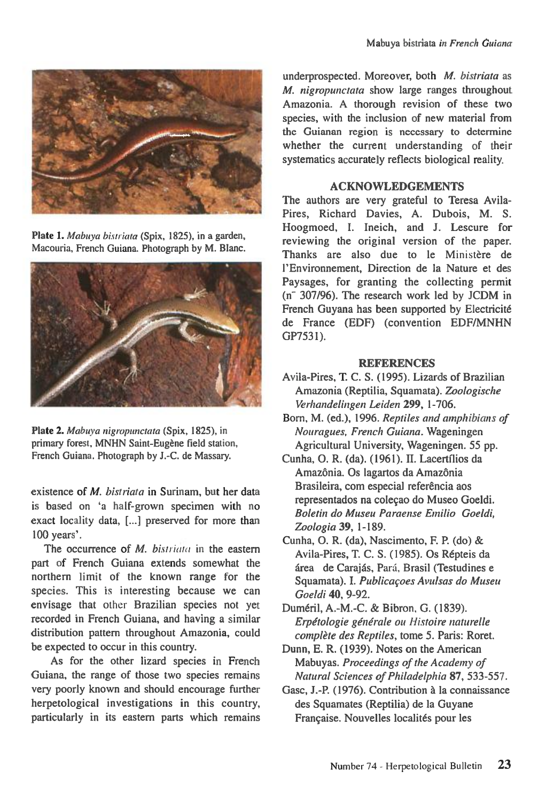

Plate 1. Mabuya bistriata (Spix, 1825), in a garden, Macouria, French Guiana. Photograph by M. Blanc.



Plate 2. Mabuya nigropunctata (Spix, 1825), in primary forest, MNHN Saint-Eugène field station, French Guiana. Photograph by J.-C. de Massary.

existence of *M. bistriata* in Surinam, but her data is based on 'a half-grown specimen with no exact locality data, [...] preserved for more than 100 years'.

The occurrence of M. bistriata in the eastern part of French Guiana extends somewhat the northern limit of the known range for the species. This is interesting because we can envisage that other Brazilian species not yet recorded in French Guiana, and having a similar distribution pattern throughout Amazonia, could be expected to occur in this country.

As for the other lizard species in French Guiana, the range of those two species remains very poorly known and should encourage further herpetological investigations in this country, particularly in its eastern parts which remains

underprospected. Moreover, both M. bistriata as M. nigropunctata show large ranges throughout Amazonia. A thorough revision of these two species, with the inclusion of new material from the Guianan region is necessary to determine whether the current understanding of their systematics accurately reflects biological reality.

### ACKNOWLEDGEMENTS

The authors are very grateful to Teresa Avila-Pires, Richard Davies, A. Dubois, M. S. Hoogmoed, I. Ineich, and J. Lescure for reviewing the original version of the paper. Thanks are also due to le Ministère de l'Environnement, Direction de la Nature et des Paysages, for granting the collecting permit  $(n - 307/96)$ . The research work led by JCDM in French Guyana has been supported by Electricite de France (EDF) (convention EDF/MNHN GP7531).

### **REFERENCES**

- Avila-Pires, T. C. S. (1995). Lizards of Brazilian Amazonia (Reptilia, Squamata). Zoologische Verhandelingen Leiden 299, 1-706.
- Born, M. (ed.), 1996. Reptiles and amphibians of Nouragues, French Guiana. Wageningen Agricultural University, Wageningen. 55 pp.
- Cunha, 0. R. (da). (1961). H. Lacertilios da Amazônia. Os lagartos da Amazônia Brasileira, com especial referência aos representados na colecao do Museo Goeldi. Boletin do Museu Paraense Emilio Goeldi, Zoologia **39,** 1-189.
- Cunha, 0. R. (da), Nascimento, F. P. (do) & Avila-Pires, T. C. S. (1985). Os Repteis da área de Carajás, Pará, Brasil (Testudines e Squamata). I. Publicacoes Avulsas do Museu Goeldi **40,** 9-92.
- Dumeril, A.-M.-C. & Bibron, G. (1839). Erpétologie générale ou Histoire naturelle complète des Reptiles, tome 5. Paris: Roret.
- Dunn, E. R. (1939). Notes on the American Mabuyas. Proceedings of the Academy of Natural Sciences of Philadelphia **87,** 533-557.
- Gasc, J.-P. (1976). Contribution a la connaissance des Squamates (Reptilia) de la Guyane Française. Nouvelles localités pour les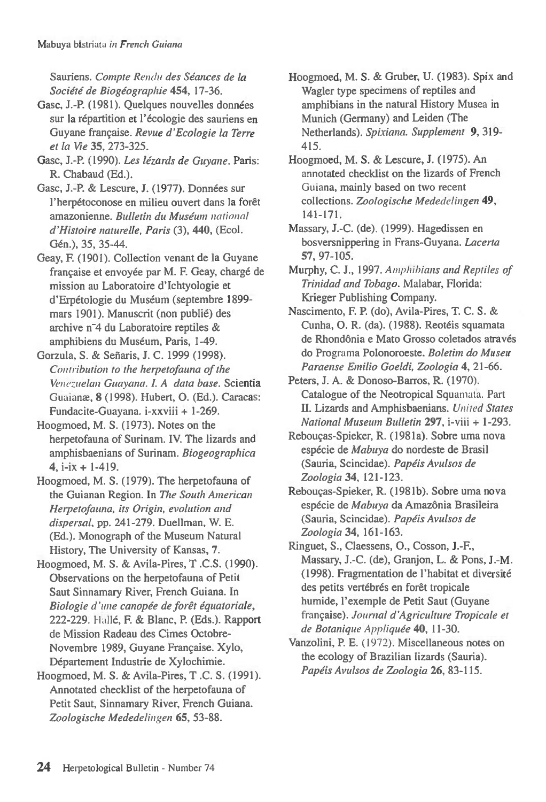Sauriens. Compte Rendu des Séances de la Societe de Biogeographie **454,** 17-36.

Gasc, J.-P. (1981). Quelques nouvelles données sur la répartition et l'écologie des sauriens en Guyane frangaise. Revue d'Ecologie la Terre et la Vie **35,** 273-325.

Gasc, J.-P. (1990). Les lézards de Guyane. Paris: R. Chabaud (Ed.).

Gasc, J.-P. & Lescure, J. (1977). Données sur l'herpétoconose en milieu ouvert dans la forêt amazonienne. Bulletin du Muséum national d'Histoire naturelle, Paris (3), **440,** (Ecol. Gen.), 35, 35-44.

Geay, F. (1901). Collection venant de la Guyane française et envoyée par M. F. Geay, chargé de mission au Laboratoire d'Ichtyologie et d'Erpétologie du Muséum (septembre 1899mars 1901). Manuscrit (non publie) des archive n-4 du Laboratoire reptiles & amphibiens du Muséum, Paris, 1-49.

Gorzula, S. & Señaris, J. C. 1999 (1998). Contribution to the herpetofauna of the Venezuelan Guayana. I. A data base. Scientia Guaianw, **8** (1998). Hubert, **0.** (Ed.). Caracas: Fundacite-Guayana. i-xxviii + 1-269.

Hoogmoed, M. S. (1973). Notes on the herpetofauna of Surinam. IV. The lizards and amphisbaenians of Surinam. Biogeographica **4, i-ix +** 1-419.

Hoogmoed, M. S. (1979). The herpetofauna of the Guianan Region. In The South American Herpetofauna, its Origin, evolution and dispersal, pp. 241-279. Duellman, W. E. (Ed.). Monograph of the Museum Natural History, The University of Kansas, **7.** 

Hoogmoed, M. S. & Avila-Pires, T .C.S. (1990). Observations on the herpetofauna of Petit Saut Sinnamary River, French Guiana. In Biologie d'une canopée de forêt équatoriale, 222-229. Halle, F. & Blanc, P. (Eds.). Rapport de Mission Radeau des Cimes Octobre-Novembre 1989, Guyane Francaise. Xylo, Département Industrie de Xylochimie.

Hoogmoed, M. S. & Avila-Pires, T .C. S. (1991). Annotated checklist of the herpetofauna of Petit Saut, Sinnamary River, French Guiana. Zoologische Mededelingen **65,** 53-88.

Hoogmoed, M. S. & Gruber, U. (1983). Spix and Wagler type specimens of reptiles and amphibians in the natural History Musea in Munich (Germany) and Leiden (The Netherlands). Spixiana. Supplement **9,** 319- 415.

Hoogmoed, M. S. & Lescure, J. (1975). An annotated checklist on the lizards of French Guiana, mainly based on two recent collections. Zoologische Mededelingen **49,**  141-171.

Massary, J.-C. (de). (1999). Hagedissen en bosversnippering in Frans-Guyana. Lacerta **57,** 97-105.

Murphy, C. J., 1997. Amphibians and Reptiles of Trinidad and Tobago. Malabar, Florida: Krieger Publishing Company.

Nascimento, F. P. (do), Avila-Pires, T. C. S. & Cunha, **0.** R. (da). (1988). Reoteis squamata de Rhondônia e Mato Grosso coletados através do Programa Polonoroeste. Boletim do Museu Paraense Emilio Goeldi, Zoologia **4,** 21-66.

Peters, J. A. & Donoso-Barros, R. (1970). Catalogue of the Neotropical Squamata. Part **H.** Lizards and Amphisbaenians. United States National Museum Bulletin **297, i-viii +** 1-293.

Rebougas-Spieker, R. (1981a). Sobre uma nova espécie de Mabuya do nordeste de Brasil (Sauria, Scincidae). Papeis Avulsos de Zoologia **34,** 121-123.

Rebougas-Spieker, R. (1981b). Sobre uma nova espécie de Mabuya da Amazônia Brasileira (Sauria, Scincidae). Papeis Avulsos de Zoologia **34,** 161-163.

Ringuet, S., Claessens, 0., Cosson, J.-F., Massary, J.-C. (de), Granjon, L. & Pons, J.-M. (1998). Fragmentation de l'habitat et diversite des petits vertébrés en forêt tropicale humide, l'exemple de Petit Saut (Guyane francaise). Journal d'Agriculture Tropicale et de Botanique Appliquée 40, 11-30.

Vanzolini, P. E. (1972). Miscellaneous notes on the ecology of Brazilian lizards (Sauria). Papéis Avulsos de Zoologia 26, 83-115.